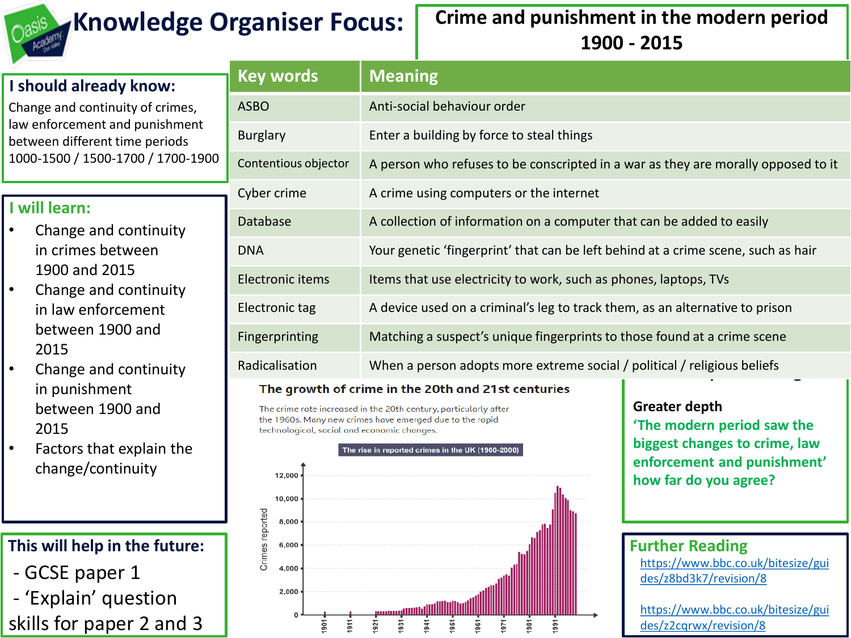

# **Knowledge Organiser Focus: Crime and punishment in the modern period 1900 - 2015**

|                                                                                                                                                                                             | <b>Key words</b>      |                                                                                   |  |
|---------------------------------------------------------------------------------------------------------------------------------------------------------------------------------------------|-----------------------|-----------------------------------------------------------------------------------|--|
| I should already know:<br>Change and continuity of crimes,<br>law enforcement and punishment<br>between different time periods<br>1000-1500 / 1500-1700 / 1700-1900                         |                       | <b>Meaning</b>                                                                    |  |
|                                                                                                                                                                                             | <b>ASBO</b>           | Anti-social behaviour order                                                       |  |
|                                                                                                                                                                                             | <b>Burglary</b>       | Enter a building by force to steal things                                         |  |
|                                                                                                                                                                                             | Contentious objector  | A person who refuses to be conscripted in a war as they are morally opposed to it |  |
| will learn:<br>Change and continuity<br>in crimes between<br>1900 and 2015<br>Change and continuity<br>$\bullet$<br>in law enforcement<br>between 1900 and<br>2015<br>Change and continuity | Cyber crime           | A crime using computers or the internet                                           |  |
|                                                                                                                                                                                             | Database              | A collection of information on a computer that can be added to easily             |  |
|                                                                                                                                                                                             | <b>DNA</b>            | Your genetic 'fingerprint' that can be left behind at a crime scene, such as hair |  |
|                                                                                                                                                                                             | Electronic items      | Items that use electricity to work, such as phones, laptops, TVs                  |  |
|                                                                                                                                                                                             | Electronic tag        | A device used on a criminal's leg to track them, as an alternative to prison      |  |
|                                                                                                                                                                                             | <b>Fingerprinting</b> | Matching a suspect's unique fingerprints to those found at a crime scene          |  |
|                                                                                                                                                                                             | Radicalisation        | When a person adopts more extreme social / political / religious beliefs          |  |
|                                                                                                                                                                                             |                       |                                                                                   |  |

#### The growth of crime in the 20th and 21st centuries

The crime rate increased in the 20th century, particularly after the 1960s. Many new crimes have emerged due to the rapid technological, social and economic changes.



**Greater depth 'The modern period saw the biggest changes to crime, law enforcement and punishment' how far do you agree?**

### **Further Reading**

[https://www.bbc.co.uk/bitesize/gui](https://www.bbc.co.uk/bitesize/guides/z8bd3k7/revision/8) des/z8bd3k7/revision/8

[https://www.bbc.co.uk/bitesize/gui](https://www.bbc.co.uk/bitesize/guides/z2cqrwx/revision/8) des/z2cqrwx/revision/8

## **I will learn:**

- Change and continuity
- Change and continuity
- Change and continuity in punishment between 1900 and 2015
- Factors that explain the change/continuity

## **This will help in the future:**

- GCSE paper 1
- 'Explain' question

skills for paper 2 and 3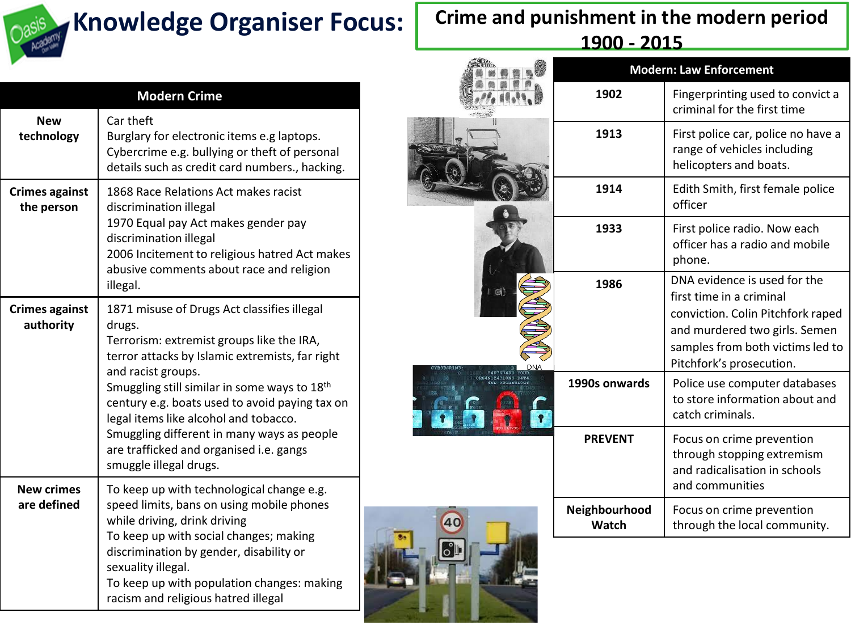

#### **Modern Crime New technology** Car theft Burglary for electronic items e.g laptops. Cybercrime e.g. bullying or theft of personal details such as credit card numbers., hacking. **Crimes against the person** 1868 Race Relations Act makes racist discrimination illegal 1970 Equal pay Act makes gender pay discrimination illegal 2006 Incitement to religious hatred Act makes abusive comments about race and religion illegal. **Crimes against authority** 1871 misuse of Drugs Act classifies illegal drugs. Terrorism: extremist groups like the IRA, terror attacks by Islamic extremists, far right and racist groups. Smuggling still similar in some ways to 18th century e.g. boats used to avoid paying tax on legal items like alcohol and tobacco. Smuggling different in many ways as people are trafficked and organised i.e. gangs smuggle illegal drugs. **New crimes are defined** To keep up with technological change e.g. speed limits, bans on using mobile phones while driving, drink driving To keep up with social changes; making discrimination by gender, disability or sexuality illegal. To keep up with population changes: making racism and religious hatred illegal

# **Crime and punishment in the modern period 1900 - 2015**

|                        | <b>Modern: Law Enforcement</b> |                                                                                                                                                                                                |  |
|------------------------|--------------------------------|------------------------------------------------------------------------------------------------------------------------------------------------------------------------------------------------|--|
|                        | 1902                           | Fingerprinting used to convict a<br>criminal for the first time                                                                                                                                |  |
|                        | 1913                           | First police car, police no have a<br>range of vehicles including<br>helicopters and boats.                                                                                                    |  |
|                        | 1914                           | Edith Smith, first female police<br>officer                                                                                                                                                    |  |
|                        | 1933                           | First police radio. Now each<br>officer has a radio and mobile<br>phone.                                                                                                                       |  |
| <b>D</b><br><b>DNA</b> | 1986                           | DNA evidence is used for the<br>first time in a criminal<br>conviction. Colin Pitchfork raped<br>and murdered two girls. Semen<br>samples from both victims led to<br>Pitchfork's prosecution. |  |
| <b>124T10NS D4T4</b>   | 1990s onwards                  | Police use computer databases<br>to store information about and<br>catch criminals.                                                                                                            |  |
|                        | <b>PREVENT</b>                 | Focus on crime prevention<br>through stopping extremism<br>and radicalisation in schools<br>and communities                                                                                    |  |
|                        | Neighbourhood<br>Watch         | Focus on crime prevention<br>through the local community.                                                                                                                                      |  |